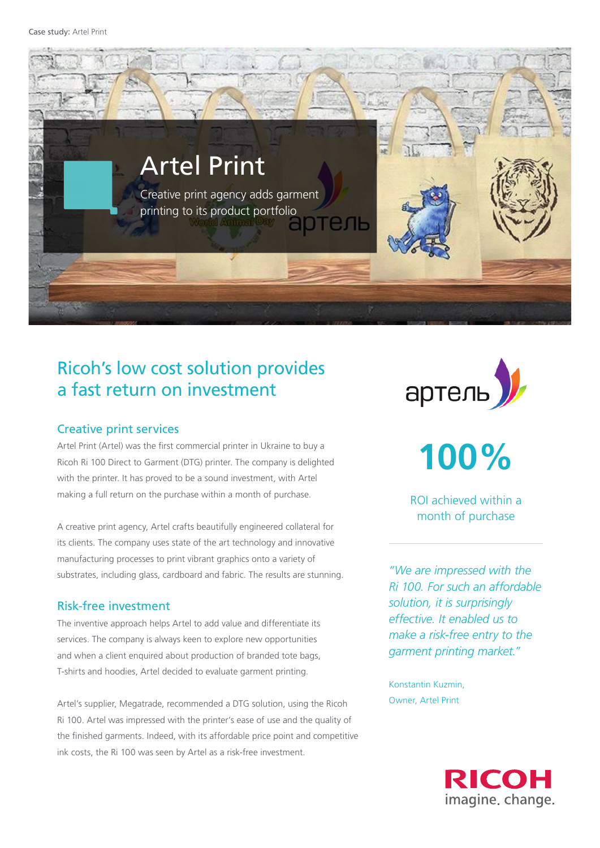

# Ricoh's low cost solution provides a fast return on investment

#### Creative print services

Artel Print (Artel) was the first commercial printer in Ukraine to buy a Ricoh Ri 100 Direct to Garment (DTG) printer. The company is delighted with the printer. It has proved to be a sound investment, with Artel making a full return on the purchase within a month of purchase.

A creative print agency, Artel crafts beautifully engineered collateral for its clients. The company uses state of the art technology and innovative manufacturing processes to print vibrant graphics onto a variety of substrates, including glass, cardboard and fabric. The results are stunning.

### Risk-free investment

The inventive approach helps Artel to add value and differentiate its services. The company is always keen to explore new opportunities and when a client enquired about production of branded tote bags, T-shirts and hoodies, Artel decided to evaluate garment printing.

Artel's supplier, Megatrade, recommended a DTG solution, using the Ricoh Ri 100. Artel was impressed with the printer's ease of use and the quality of the finished garments. Indeed, with its affordable price point and competitive ink costs, the Ri 100 was seen by Artel as a risk-free investment.



**100%**

ROI achieved within a month of purchase

*"We are impressed with the Ri 100. For such an affordable solution, it is surprisingly effective. It enabled us to make a risk-free entry to the garment printing market."* 

Konstantin Kuzmin, Owner, Artel Print